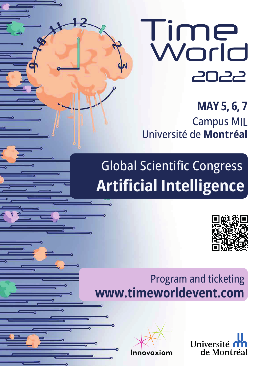

**MAY 5, 6, 7** Campus MIL Université de **Montréal**

# Global Scientific Congress **Artificial Intelligence**



# Program and ticketing **www.timeworldevent.com**



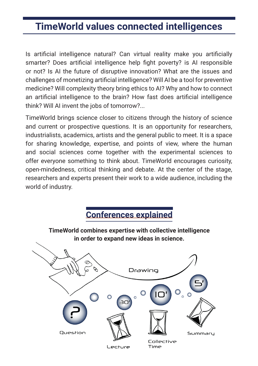## **TimeWorld values connected intelligences**

Is artificial intelligence natural? Can virtual reality make you artificially smarter? Does artificial intelligence help fight poverty? is AI responsible or not? Is AI the future of disruptive innovation? What are the issues and challenges of monetizing artificial intelligence? Will AI be a tool for preventive medicine? Will complexity theory bring ethics to AI? Why and how to connect an artificial intelligence to the brain? How fast does artificial intelligence think? Will AI invent the jobs of tomorrow?...

TimeWorld brings science closer to citizens through the history of science and current or prospective questions. It is an opportunity for researchers, industrialists, academics, artists and the general public to meet. It is a space for sharing knowledge, expertise, and points of view, where the human and social sciences come together with the experimental sciences to offer everyone something to think about. TimeWorld encourages curiosity, open-mindedness, critical thinking and debate. At the center of the stage, researchers and experts present their work to a wide audience, including the world of industry.

#### **Conferences explained**

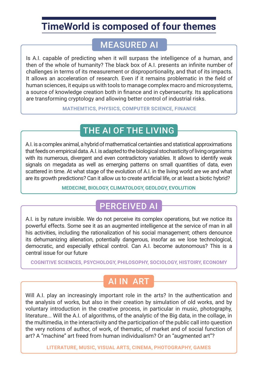## **TimeWorld is composed of four themes**

#### MEASURED AI

Is A.I. capable of predicting when it will surpass the intelligence of a human, and then of the whole of humanity? The black box of A.I. presents an infinite number of challenges in terms of its measurement or disproportionality, and that of its impacts. It allows an acceleration of research. Even if it remains problematic in the field of human sciences, it equips us with tools to manage complex macro and microsystems, a source of knowledge creation both in finance and in cybersecurity. Its applications are transforming cryptology and allowing better control of industrial risks.

**MATHEMTICS, PHYSICS, COMPUTER SCIENCE, FINANCE**

### THE AI OF THE LIVING

A.I. is a complex animal, a hybrid of mathematical certainties and statistical approximations that feeds on empirical data. A.I. is adapted to the biological stochasticity of living organisms with its numerous, divergent and even contradictory variables. It allows to identify weak signals on megadata as well as emerging patterns on small quantities of data, even scattered in time. At what stage of the evolution of A.I. in the living world are we and what are its growth predictions? Can it allow us to create artificial life, or at least a biotic hybrid?

#### **MEDECINE, BIOLOGY, CLIMATOLOGY, GEOLOGY, EVOLUTION**

#### PERCEIVED AI

A.I. is by nature invisible. We do not perceive its complex operations, but we notice its powerful effects. Some see it as an augmented intelligence at the service of man in all his activities, including the rationalization of his social management; others denounce its dehumanizing alienation, potentially dangerous, insofar as we lose technological, democratic, and especially ethical control. Can A.I. become autonomous? This is a central issue for our future

**COGNITIVE SCIENCES, PSYCHOLOGY, PHILOSOPHY, SOCIOLOGY, HISTOIRY, ECONOMY**

#### AI IN ART

Will A.I. play an increasingly important role in the arts? In the authentication and the analysis of works, but also in their creation by simulation of old works, and by voluntary introduction in the creative process, in particular in music, photography, literature... Will the A.I. of algorithms, of the analytic of the Big data, in the collage, in the multimedia, in the interactivity and the participation of the public call into question the very notions of author, of work, of thematic, of market and of social function of art? A "machine" art freed from human individualism? Or an "augmented art"?

**LITERATURE, MUSIC, VISUAL ARTS, CINEMA, PHOTOGRAPHY, GAMES**